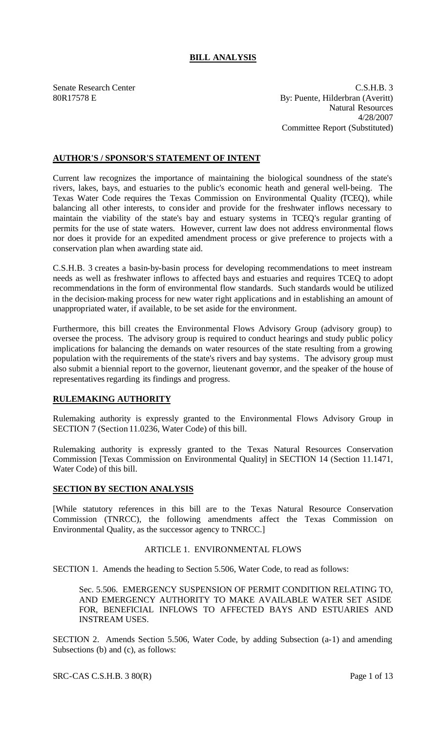# **BILL ANALYSIS**

Senate Research Center C.S.H.B. 3 80R17578 E By: Puente, Hilderbran (Averitt) Natural Resources 4/28/2007 Committee Report (Substituted)

# **AUTHOR'S / SPONSOR'S STATEMENT OF INTENT**

Current law recognizes the importance of maintaining the biological soundness of the state's rivers, lakes, bays, and estuaries to the public's economic heath and general well-being. The Texas Water Code requires the Texas Commission on Environmental Quality (TCEQ), while balancing all other interests, to consider and provide for the freshwater inflows necessary to maintain the viability of the state's bay and estuary systems in TCEQ's regular granting of permits for the use of state waters. However, current law does not address environmental flows nor does it provide for an expedited amendment process or give preference to projects with a conservation plan when awarding state aid.

C.S.H.B. 3 creates a basin-by-basin process for developing recommendations to meet instream needs as well as freshwater inflows to affected bays and estuaries and requires TCEQ to adopt recommendations in the form of environmental flow standards. Such standards would be utilized in the decision-making process for new water right applications and in establishing an amount of unappropriated water, if available, to be set aside for the environment.

Furthermore, this bill creates the Environmental Flows Advisory Group (advisory group) to oversee the process. The advisory group is required to conduct hearings and study public policy implications for balancing the demands on water resources of the state resulting from a growing population with the requirements of the state's rivers and bay systems. The advisory group must also submit a biennial report to the governor, lieutenant governor, and the speaker of the house of representatives regarding its findings and progress.

## **RULEMAKING AUTHORITY**

Rulemaking authority is expressly granted to the Environmental Flows Advisory Group in SECTION 7 (Section 11.0236, Water Code) of this bill.

Rulemaking authority is expressly granted to the Texas Natural Resources Conservation Commission [Texas Commission on Environmental Quality] in SECTION 14 (Section 11.1471, Water Code) of this bill.

### **SECTION BY SECTION ANALYSIS**

[While statutory references in this bill are to the Texas Natural Resource Conservation Commission (TNRCC), the following amendments affect the Texas Commission on Environmental Quality, as the successor agency to TNRCC.]

### ARTICLE 1. ENVIRONMENTAL FLOWS

SECTION 1. Amends the heading to Section 5.506, Water Code, to read as follows:

Sec. 5.506. EMERGENCY SUSPENSION OF PERMIT CONDITION RELATING TO, AND EMERGENCY AUTHORITY TO MAKE AVAILABLE WATER SET ASIDE FOR, BENEFICIAL INFLOWS TO AFFECTED BAYS AND ESTUARIES AND INSTREAM USES.

SECTION 2. Amends Section 5.506, Water Code, by adding Subsection (a-1) and amending Subsections (b) and (c), as follows: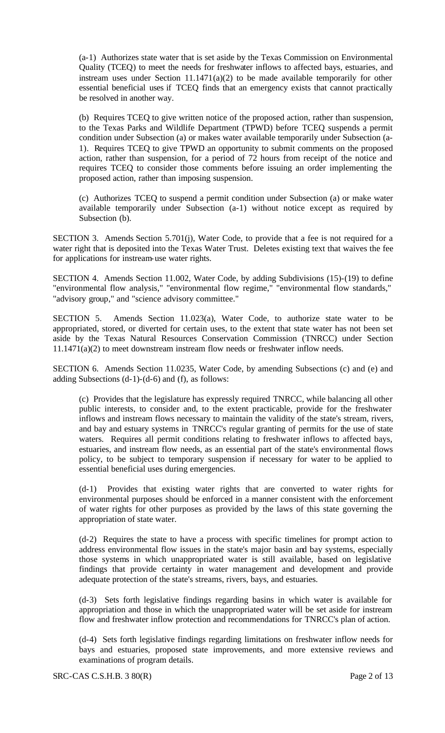(a-1) Authorizes state water that is set aside by the Texas Commission on Environmental Quality (TCEQ) to meet the needs for freshwater inflows to affected bays, estuaries, and instream uses under Section  $11.1471(a)(2)$  to be made available temporarily for other essential beneficial uses if TCEQ finds that an emergency exists that cannot practically be resolved in another way.

(b) Requires TCEQ to give written notice of the proposed action, rather than suspension, to the Texas Parks and Wildlife Department (TPWD) before TCEQ suspends a permit condition under Subsection (a) or makes water available temporarily under Subsection (a-1). Requires TCEQ to give TPWD an opportunity to submit comments on the proposed action, rather than suspension, for a period of 72 hours from receipt of the notice and requires TCEQ to consider those comments before issuing an order implementing the proposed action, rather than imposing suspension.

(c) Authorizes TCEQ to suspend a permit condition under Subsection (a) or make water available temporarily under Subsection (a-1) without notice except as required by Subsection (b).

SECTION 3. Amends Section 5.701(j), Water Code, to provide that a fee is not required for a water right that is deposited into the Texas Water Trust. Deletes existing text that waives the fee for applications for instream-use water rights.

SECTION 4. Amends Section 11.002, Water Code, by adding Subdivisions (15)-(19) to define "environmental flow analysis," "environmental flow regime," "environmental flow standards," "advisory group," and "science advisory committee."

SECTION 5. Amends Section 11.023(a), Water Code, to authorize state water to be appropriated, stored, or diverted for certain uses, to the extent that state water has not been set aside by the Texas Natural Resources Conservation Commission (TNRCC) under Section 11.1471(a)(2) to meet downstream instream flow needs or freshwater inflow needs.

SECTION 6. Amends Section 11.0235, Water Code, by amending Subsections (c) and (e) and adding Subsections (d-1)-(d-6) and (f), as follows:

(c) Provides that the legislature has expressly required TNRCC, while balancing all other public interests, to consider and, to the extent practicable, provide for the freshwater inflows and instream flows necessary to maintain the validity of the state's stream, rivers, and bay and estuary systems in TNRCC's regular granting of permits for the use of state waters. Requires all permit conditions relating to freshwater inflows to affected bays, estuaries, and instream flow needs, as an essential part of the state's environmental flows policy, to be subject to temporary suspension if necessary for water to be applied to essential beneficial uses during emergencies.

(d-1) Provides that existing water rights that are converted to water rights for environmental purposes should be enforced in a manner consistent with the enforcement of water rights for other purposes as provided by the laws of this state governing the appropriation of state water.

(d-2) Requires the state to have a process with specific timelines for prompt action to address environmental flow issues in the state's major basin and bay systems, especially those systems in which unappropriated water is still available, based on legislative findings that provide certainty in water management and development and provide adequate protection of the state's streams, rivers, bays, and estuaries.

(d-3) Sets forth legislative findings regarding basins in which water is available for appropriation and those in which the unappropriated water will be set aside for instream flow and freshwater inflow protection and recommendations for TNRCC's plan of action.

(d-4) Sets forth legislative findings regarding limitations on freshwater inflow needs for bays and estuaries, proposed state improvements, and more extensive reviews and examinations of program details.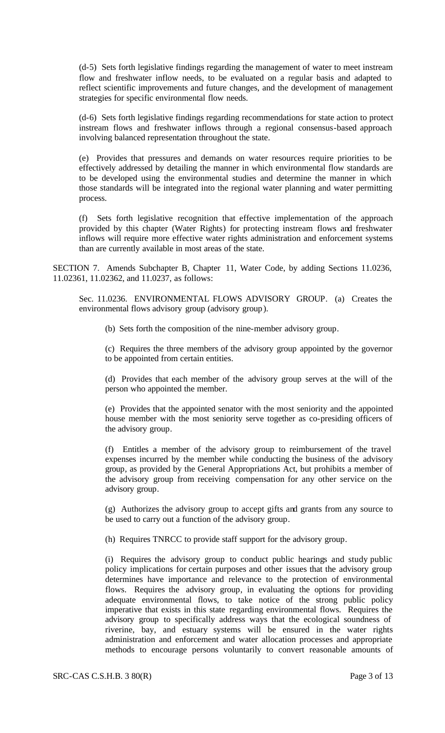(d-5) Sets forth legislative findings regarding the management of water to meet instream flow and freshwater inflow needs, to be evaluated on a regular basis and adapted to reflect scientific improvements and future changes, and the development of management strategies for specific environmental flow needs.

(d-6) Sets forth legislative findings regarding recommendations for state action to protect instream flows and freshwater inflows through a regional consensus-based approach involving balanced representation throughout the state.

(e) Provides that pressures and demands on water resources require priorities to be effectively addressed by detailing the manner in which environmental flow standards are to be developed using the environmental studies and determine the manner in which those standards will be integrated into the regional water planning and water permitting process.

(f) Sets forth legislative recognition that effective implementation of the approach provided by this chapter (Water Rights) for protecting instream flows and freshwater inflows will require more effective water rights administration and enforcement systems than are currently available in most areas of the state.

SECTION 7. Amends Subchapter B, Chapter 11, Water Code, by adding Sections 11.0236, 11.02361, 11.02362, and 11.0237, as follows:

Sec. 11.0236. ENVIRONMENTAL FLOWS ADVISORY GROUP. (a) Creates the environmental flows advisory group (advisory group).

(b) Sets forth the composition of the nine-member advisory group.

(c) Requires the three members of the advisory group appointed by the governor to be appointed from certain entities.

(d) Provides that each member of the advisory group serves at the will of the person who appointed the member.

(e) Provides that the appointed senator with the most seniority and the appointed house member with the most seniority serve together as co-presiding officers of the advisory group.

(f) Entitles a member of the advisory group to reimbursement of the travel expenses incurred by the member while conducting the business of the advisory group, as provided by the General Appropriations Act, but prohibits a member of the advisory group from receiving compensation for any other service on the advisory group.

(g) Authorizes the advisory group to accept gifts and grants from any source to be used to carry out a function of the advisory group.

(h) Requires TNRCC to provide staff support for the advisory group.

(i) Requires the advisory group to conduct public hearings and study public policy implications for certain purposes and other issues that the advisory group determines have importance and relevance to the protection of environmental flows. Requires the advisory group, in evaluating the options for providing adequate environmental flows, to take notice of the strong public policy imperative that exists in this state regarding environmental flows. Requires the advisory group to specifically address ways that the ecological soundness of riverine, bay, and estuary systems will be ensured in the water rights administration and enforcement and water allocation processes and appropriate methods to encourage persons voluntarily to convert reasonable amounts of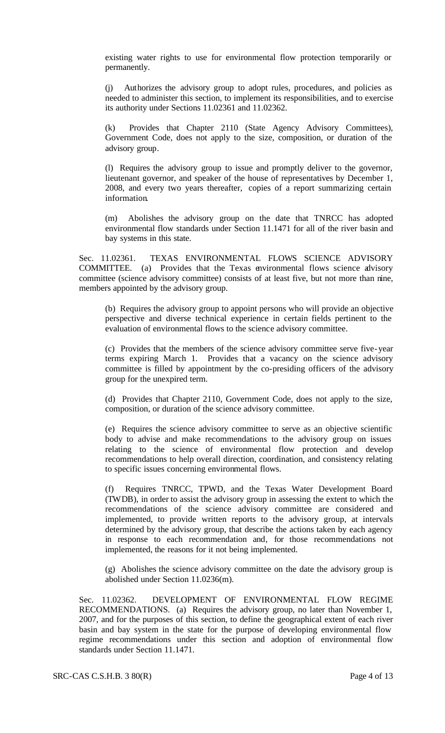existing water rights to use for environmental flow protection temporarily or permanently.

(j) Authorizes the advisory group to adopt rules, procedures, and policies as needed to administer this section, to implement its responsibilities, and to exercise its authority under Sections 11.02361 and 11.02362.

(k) Provides that Chapter 2110 (State Agency Advisory Committees), Government Code, does not apply to the size, composition, or duration of the advisory group.

(l) Requires the advisory group to issue and promptly deliver to the governor, lieutenant governor, and speaker of the house of representatives by December 1, 2008, and every two years thereafter, copies of a report summarizing certain information.

(m) Abolishes the advisory group on the date that TNRCC has adopted environmental flow standards under Section 11.1471 for all of the river basin and bay systems in this state.

Sec. 11.02361. TEXAS ENVIRONMENTAL FLOWS SCIENCE ADVISORY COMMITTEE. (a) Provides that the Texas environmental flows science advisory committee (science advisory committee) consists of at least five, but not more than nine, members appointed by the advisory group.

(b) Requires the advisory group to appoint persons who will provide an objective perspective and diverse technical experience in certain fields pertinent to the evaluation of environmental flows to the science advisory committee.

(c) Provides that the members of the science advisory committee serve five-year terms expiring March 1. Provides that a vacancy on the science advisory committee is filled by appointment by the co-presiding officers of the advisory group for the unexpired term.

(d) Provides that Chapter 2110, Government Code, does not apply to the size, composition, or duration of the science advisory committee.

(e) Requires the science advisory committee to serve as an objective scientific body to advise and make recommendations to the advisory group on issues relating to the science of environmental flow protection and develop recommendations to help overall direction, coordination, and consistency relating to specific issues concerning environmental flows.

(f) Requires TNRCC, TPWD, and the Texas Water Development Board (TWDB), in order to assist the advisory group in assessing the extent to which the recommendations of the science advisory committee are considered and implemented, to provide written reports to the advisory group, at intervals determined by the advisory group, that describe the actions taken by each agency in response to each recommendation and, for those recommendations not implemented, the reasons for it not being implemented.

(g) Abolishes the science advisory committee on the date the advisory group is abolished under Section 11.0236(m).

Sec. 11.02362. DEVELOPMENT OF ENVIRONMENTAL FLOW REGIME RECOMMENDATIONS. (a) Requires the advisory group, no later than November 1, 2007, and for the purposes of this section, to define the geographical extent of each river basin and bay system in the state for the purpose of developing environmental flow regime recommendations under this section and adoption of environmental flow standards under Section 11.1471.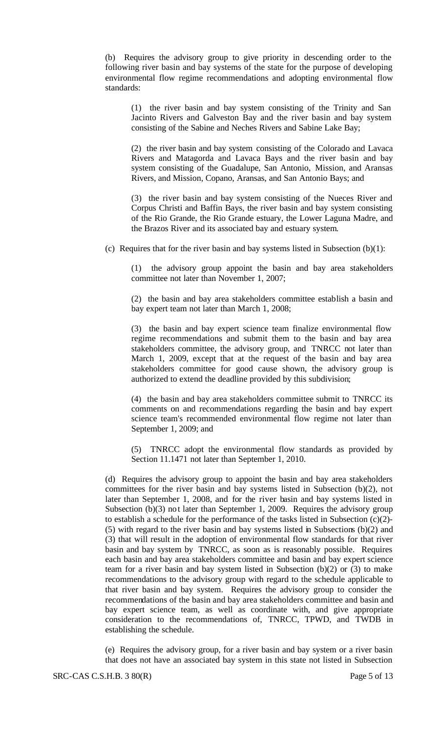(b) Requires the advisory group to give priority in descending order to the following river basin and bay systems of the state for the purpose of developing environmental flow regime recommendations and adopting environmental flow standards:

(1) the river basin and bay system consisting of the Trinity and San Jacinto Rivers and Galveston Bay and the river basin and bay system consisting of the Sabine and Neches Rivers and Sabine Lake Bay;

(2) the river basin and bay system consisting of the Colorado and Lavaca Rivers and Matagorda and Lavaca Bays and the river basin and bay system consisting of the Guadalupe, San Antonio, Mission, and Aransas Rivers, and Mission, Copano, Aransas, and San Antonio Bays; and

(3) the river basin and bay system consisting of the Nueces River and Corpus Christi and Baffin Bays, the river basin and bay system consisting of the Rio Grande, the Rio Grande estuary, the Lower Laguna Madre, and the Brazos River and its associated bay and estuary system.

(c) Requires that for the river basin and bay systems listed in Subsection  $(b)(1)$ :

(1) the advisory group appoint the basin and bay area stakeholders committee not later than November 1, 2007;

(2) the basin and bay area stakeholders committee establish a basin and bay expert team not later than March 1, 2008;

(3) the basin and bay expert science team finalize environmental flow regime recommendations and submit them to the basin and bay area stakeholders committee, the advisory group, and TNRCC not later than March 1, 2009, except that at the request of the basin and bay area stakeholders committee for good cause shown, the advisory group is authorized to extend the deadline provided by this subdivision;

(4) the basin and bay area stakeholders committee submit to TNRCC its comments on and recommendations regarding the basin and bay expert science team's recommended environmental flow regime not later than September 1, 2009; and

(5) TNRCC adopt the environmental flow standards as provided by Section 11.1471 not later than September 1, 2010.

(d) Requires the advisory group to appoint the basin and bay area stakeholders committees for the river basin and bay systems listed in Subsection (b)(2), not later than September 1, 2008, and for the river basin and bay systems listed in Subsection (b)(3) not later than September 1, 2009. Requires the advisory group to establish a schedule for the performance of the tasks listed in Subsection (c)(2)- (5) with regard to the river basin and bay systems listed in Subsections (b)(2) and (3) that will result in the adoption of environmental flow standards for that river basin and bay system by TNRCC, as soon as is reasonably possible. Requires each basin and bay area stakeholders committee and basin and bay expert science team for a river basin and bay system listed in Subsection  $(b)(2)$  or  $(3)$  to make recommendations to the advisory group with regard to the schedule applicable to that river basin and bay system. Requires the advisory group to consider the recommendations of the basin and bay area stakeholders committee and basin and bay expert science team, as well as coordinate with, and give appropriate consideration to the recommendations of, TNRCC, TPWD, and TWDB in establishing the schedule.

(e) Requires the advisory group, for a river basin and bay system or a river basin that does not have an associated bay system in this state not listed in Subsection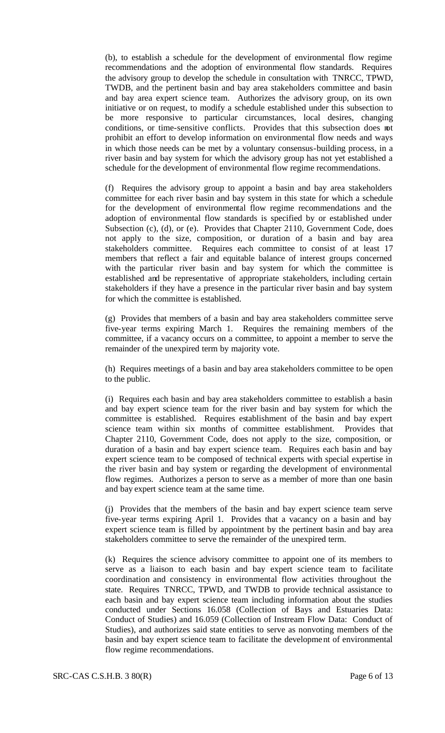(b), to establish a schedule for the development of environmental flow regime recommendations and the adoption of environmental flow standards. Requires the advisory group to develop the schedule in consultation with TNRCC, TPWD, TWDB, and the pertinent basin and bay area stakeholders committee and basin and bay area expert science team. Authorizes the advisory group, on its own initiative or on request, to modify a schedule established under this subsection to be more responsive to particular circumstances, local desires, changing conditions, or time-sensitive conflicts. Provides that this subsection does not prohibit an effort to develop information on environmental flow needs and ways in which those needs can be met by a voluntary consensus-building process, in a river basin and bay system for which the advisory group has not yet established a schedule for the development of environmental flow regime recommendations.

(f) Requires the advisory group to appoint a basin and bay area stakeholders committee for each river basin and bay system in this state for which a schedule for the development of environmental flow regime recommendations and the adoption of environmental flow standards is specified by or established under Subsection (c), (d), or (e). Provides that Chapter 2110, Government Code, does not apply to the size, composition, or duration of a basin and bay area stakeholders committee. Requires each committee to consist of at least 17 members that reflect a fair and equitable balance of interest groups concerned with the particular river basin and bay system for which the committee is established and be representative of appropriate stakeholders, including certain stakeholders if they have a presence in the particular river basin and bay system for which the committee is established.

(g) Provides that members of a basin and bay area stakeholders committee serve five-year terms expiring March 1. Requires the remaining members of the committee, if a vacancy occurs on a committee, to appoint a member to serve the remainder of the unexpired term by majority vote.

(h) Requires meetings of a basin and bay area stakeholders committee to be open to the public.

(i) Requires each basin and bay area stakeholders committee to establish a basin and bay expert science team for the river basin and bay system for which the committee is established. Requires establishment of the basin and bay expert science team within six months of committee establishment. Provides that Chapter 2110, Government Code, does not apply to the size, composition, or duration of a basin and bay expert science team. Requires each basin and bay expert science team to be composed of technical experts with special expertise in the river basin and bay system or regarding the development of environmental flow regimes. Authorizes a person to serve as a member of more than one basin and bay expert science team at the same time.

(j) Provides that the members of the basin and bay expert science team serve five-year terms expiring April 1. Provides that a vacancy on a basin and bay expert science team is filled by appointment by the pertinent basin and bay area stakeholders committee to serve the remainder of the unexpired term.

(k) Requires the science advisory committee to appoint one of its members to serve as a liaison to each basin and bay expert science team to facilitate coordination and consistency in environmental flow activities throughout the state. Requires TNRCC, TPWD, and TWDB to provide technical assistance to each basin and bay expert science team including information about the studies conducted under Sections 16.058 (Collection of Bays and Estuaries Data: Conduct of Studies) and 16.059 (Collection of Instream Flow Data: Conduct of Studies), and authorizes said state entities to serve as nonvoting members of the basin and bay expert science team to facilitate the development of environmental flow regime recommendations.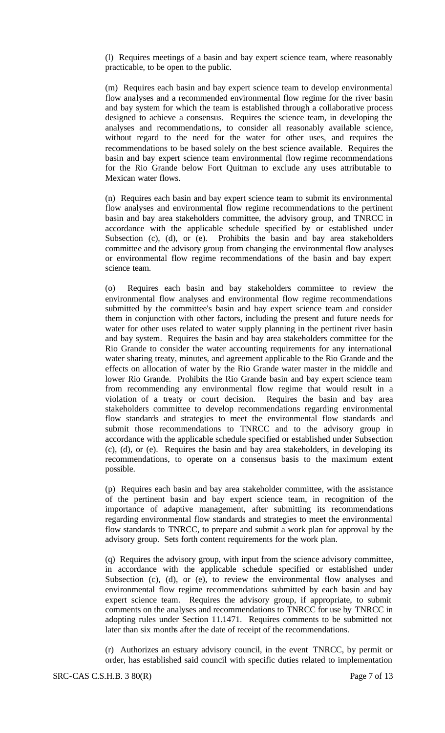(l) Requires meetings of a basin and bay expert science team, where reasonably practicable, to be open to the public.

(m) Requires each basin and bay expert science team to develop environmental flow analyses and a recommended environmental flow regime for the river basin and bay system for which the team is established through a collaborative process designed to achieve a consensus. Requires the science team, in developing the analyses and recommendations, to consider all reasonably available science, without regard to the need for the water for other uses, and requires the recommendations to be based solely on the best science available. Requires the basin and bay expert science team environmental flow regime recommendations for the Rio Grande below Fort Quitman to exclude any uses attributable to Mexican water flows.

(n) Requires each basin and bay expert science team to submit its environmental flow analyses and environmental flow regime recommendations to the pertinent basin and bay area stakeholders committee, the advisory group, and TNRCC in accordance with the applicable schedule specified by or established under Subsection (c), (d), or (e). Prohibits the basin and bay area stakeholders committee and the advisory group from changing the environmental flow analyses or environmental flow regime recommendations of the basin and bay expert science team.

(o) Requires each basin and bay stakeholders committee to review the environmental flow analyses and environmental flow regime recommendations submitted by the committee's basin and bay expert science team and consider them in conjunction with other factors, including the present and future needs for water for other uses related to water supply planning in the pertinent river basin and bay system. Requires the basin and bay area stakeholders committee for the Rio Grande to consider the water accounting requirements for any international water sharing treaty, minutes, and agreement applicable to the Rio Grande and the effects on allocation of water by the Rio Grande water master in the middle and lower Rio Grande. Prohibits the Rio Grande basin and bay expert science team from recommending any environmental flow regime that would result in a violation of a treaty or court decision. Requires the basin and bay area stakeholders committee to develop recommendations regarding environmental flow standards and strategies to meet the environmental flow standards and submit those recommendations to TNRCC and to the advisory group in accordance with the applicable schedule specified or established under Subsection (c), (d), or (e). Requires the basin and bay area stakeholders, in developing its recommendations, to operate on a consensus basis to the maximum extent possible.

(p) Requires each basin and bay area stakeholder committee, with the assistance of the pertinent basin and bay expert science team, in recognition of the importance of adaptive management, after submitting its recommendations regarding environmental flow standards and strategies to meet the environmental flow standards to TNRCC, to prepare and submit a work plan for approval by the advisory group. Sets forth content requirements for the work plan.

(q) Requires the advisory group, with input from the science advisory committee, in accordance with the applicable schedule specified or established under Subsection (c), (d), or (e), to review the environmental flow analyses and environmental flow regime recommendations submitted by each basin and bay expert science team. Requires the advisory group, if appropriate, to submit comments on the analyses and recommendations to TNRCC for use by TNRCC in adopting rules under Section 11.1471. Requires comments to be submitted not later than six months after the date of receipt of the recommendations.

(r) Authorizes an estuary advisory council, in the event TNRCC, by permit or order, has established said council with specific duties related to implementation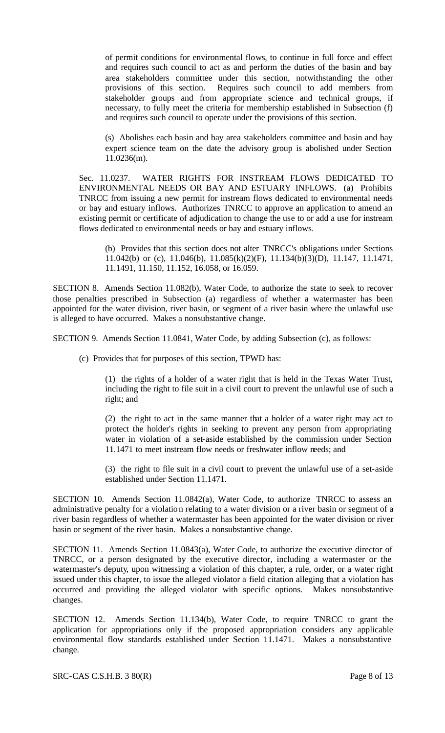of permit conditions for environmental flows, to continue in full force and effect and requires such council to act as and perform the duties of the basin and bay area stakeholders committee under this section, notwithstanding the other provisions of this section. Requires such council to add members from stakeholder groups and from appropriate science and technical groups, if necessary, to fully meet the criteria for membership established in Subsection (f) and requires such council to operate under the provisions of this section.

(s) Abolishes each basin and bay area stakeholders committee and basin and bay expert science team on the date the advisory group is abolished under Section 11.0236(m).

Sec. 11.0237. WATER RIGHTS FOR INSTREAM FLOWS DEDICATED TO ENVIRONMENTAL NEEDS OR BAY AND ESTUARY INFLOWS. (a) Prohibits TNRCC from issuing a new permit for instream flows dedicated to environmental needs or bay and estuary inflows. Authorizes TNRCC to approve an application to amend an existing permit or certificate of adjudication to change the use to or add a use for instream flows dedicated to environmental needs or bay and estuary inflows.

(b) Provides that this section does not alter TNRCC's obligations under Sections 11.042(b) or (c), 11.046(b), 11.085(k)(2)(F), 11.134(b)(3)(D), 11.147, 11.1471, 11.1491, 11.150, 11.152, 16.058, or 16.059.

SECTION 8. Amends Section 11.082(b), Water Code, to authorize the state to seek to recover those penalties prescribed in Subsection (a) regardless of whether a watermaster has been appointed for the water division, river basin, or segment of a river basin where the unlawful use is alleged to have occurred. Makes a nonsubstantive change.

SECTION 9. Amends Section 11.0841, Water Code, by adding Subsection (c), as follows:

(c) Provides that for purposes of this section, TPWD has:

(1) the rights of a holder of a water right that is held in the Texas Water Trust, including the right to file suit in a civil court to prevent the unlawful use of such a right; and

(2) the right to act in the same manner that a holder of a water right may act to protect the holder's rights in seeking to prevent any person from appropriating water in violation of a set-aside established by the commission under Section 11.1471 to meet instream flow needs or freshwater inflow needs; and

(3) the right to file suit in a civil court to prevent the unlawful use of a set-aside established under Section 11.1471.

SECTION 10. Amends Section 11.0842(a), Water Code, to authorize TNRCC to assess an administrative penalty for a violation relating to a water division or a river basin or segment of a river basin regardless of whether a watermaster has been appointed for the water division or river basin or segment of the river basin. Makes a nonsubstantive change.

SECTION 11. Amends Section 11.0843(a), Water Code, to authorize the executive director of TNRCC, or a person designated by the executive director, including a watermaster or the watermaster's deputy, upon witnessing a violation of this chapter, a rule, order, or a water right issued under this chapter, to issue the alleged violator a field citation alleging that a violation has occurred and providing the alleged violator with specific options. Makes nonsubstantive changes.

SECTION 12. Amends Section 11.134(b), Water Code, to require TNRCC to grant the application for appropriations only if the proposed appropriation considers any applicable environmental flow standards established under Section 11.1471. Makes a nonsubstantive change.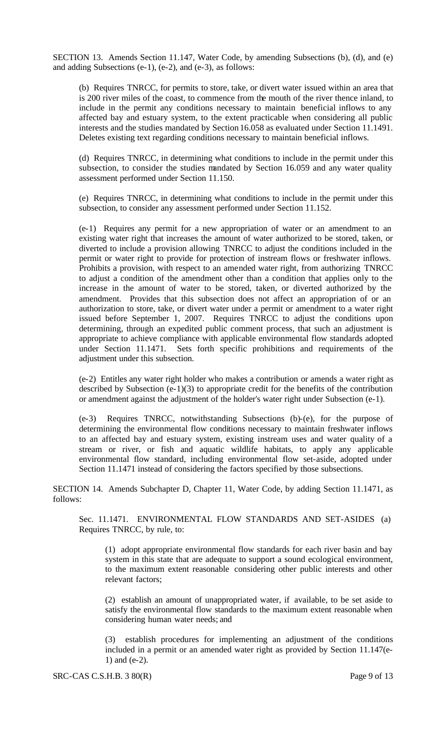SECTION 13. Amends Section 11.147, Water Code, by amending Subsections (b), (d), and (e) and adding Subsections (e-1), (e-2), and (e-3), as follows:

(b) Requires TNRCC, for permits to store, take, or divert water issued within an area that is 200 river miles of the coast, to commence from the mouth of the river thence inland, to include in the permit any conditions necessary to maintain beneficial inflows to any affected bay and estuary system, to the extent practicable when considering all public interests and the studies mandated by Section 16.058 as evaluated under Section 11.1491. Deletes existing text regarding conditions necessary to maintain beneficial inflows.

(d) Requires TNRCC, in determining what conditions to include in the permit under this subsection, to consider the studies mandated by Section 16.059 and any water quality assessment performed under Section 11.150.

(e) Requires TNRCC, in determining what conditions to include in the permit under this subsection, to consider any assessment performed under Section 11.152.

(e-1) Requires any permit for a new appropriation of water or an amendment to an existing water right that increases the amount of water authorized to be stored, taken, or diverted to include a provision allowing TNRCC to adjust the conditions included in the permit or water right to provide for protection of instream flows or freshwater inflows. Prohibits a provision, with respect to an amended water right, from authorizing TNRCC to adjust a condition of the amendment other than a condition that applies only to the increase in the amount of water to be stored, taken, or diverted authorized by the amendment. Provides that this subsection does not affect an appropriation of or an authorization to store, take, or divert water under a permit or amendment to a water right issued before September 1, 2007. Requires TNRCC to adjust the conditions upon determining, through an expedited public comment process, that such an adjustment is appropriate to achieve compliance with applicable environmental flow standards adopted under Section 11.1471. Sets forth specific prohibitions and requirements of the adjustment under this subsection.

(e-2) Entitles any water right holder who makes a contribution or amends a water right as described by Subsection (e-1)(3) to appropriate credit for the benefits of the contribution or amendment against the adjustment of the holder's water right under Subsection (e-1).

(e-3) Requires TNRCC, notwithstanding Subsections (b)-(e), for the purpose of determining the environmental flow conditions necessary to maintain freshwater inflows to an affected bay and estuary system, existing instream uses and water quality of a stream or river, or fish and aquatic wildlife habitats, to apply any applicable environmental flow standard, including environmental flow set-aside, adopted under Section 11.1471 instead of considering the factors specified by those subsections.

SECTION 14. Amends Subchapter D, Chapter 11, Water Code, by adding Section 11.1471, as follows:

Sec. 11.1471. ENVIRONMENTAL FLOW STANDARDS AND SET-ASIDES (a) Requires TNRCC, by rule, to:

(1) adopt appropriate environmental flow standards for each river basin and bay system in this state that are adequate to support a sound ecological environment, to the maximum extent reasonable considering other public interests and other relevant factors;

(2) establish an amount of unappropriated water, if available, to be set aside to satisfy the environmental flow standards to the maximum extent reasonable when considering human water needs; and

(3) establish procedures for implementing an adjustment of the conditions included in a permit or an amended water right as provided by Section 11.147(e-1) and (e-2).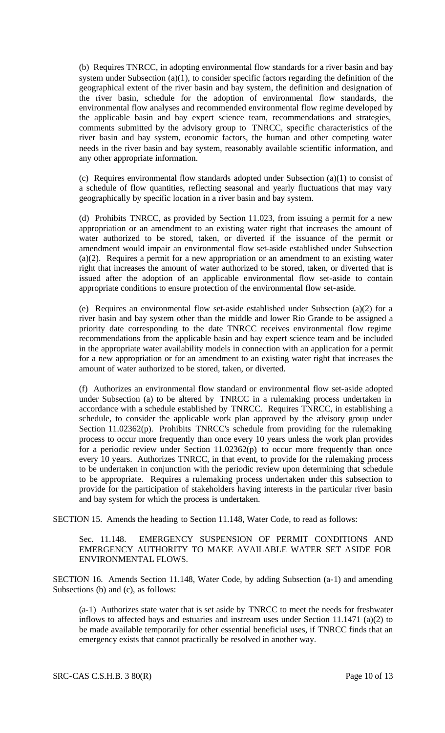(b) Requires TNRCC, in adopting environmental flow standards for a river basin and bay system under Subsection (a)(1), to consider specific factors regarding the definition of the geographical extent of the river basin and bay system, the definition and designation of the river basin, schedule for the adoption of environmental flow standards, the environmental flow analyses and recommended environmental flow regime developed by the applicable basin and bay expert science team, recommendations and strategies, comments submitted by the advisory group to TNRCC, specific characteristics of the river basin and bay system, economic factors, the human and other competing water needs in the river basin and bay system, reasonably available scientific information, and any other appropriate information.

(c) Requires environmental flow standards adopted under Subsection (a)(1) to consist of a schedule of flow quantities, reflecting seasonal and yearly fluctuations that may vary geographically by specific location in a river basin and bay system.

(d) Prohibits TNRCC, as provided by Section 11.023, from issuing a permit for a new appropriation or an amendment to an existing water right that increases the amount of water authorized to be stored, taken, or diverted if the issuance of the permit or amendment would impair an environmental flow set-aside established under Subsection (a)(2). Requires a permit for a new appropriation or an amendment to an existing water right that increases the amount of water authorized to be stored, taken, or diverted that is issued after the adoption of an applicable environmental flow set-aside to contain appropriate conditions to ensure protection of the environmental flow set-aside.

(e) Requires an environmental flow set-aside established under Subsection (a)(2) for a river basin and bay system other than the middle and lower Rio Grande to be assigned a priority date corresponding to the date TNRCC receives environmental flow regime recommendations from the applicable basin and bay expert science team and be included in the appropriate water availability models in connection with an application for a permit for a new appropriation or for an amendment to an existing water right that increases the amount of water authorized to be stored, taken, or diverted.

(f) Authorizes an environmental flow standard or environmental flow set-aside adopted under Subsection (a) to be altered by TNRCC in a rulemaking process undertaken in accordance with a schedule established by TNRCC. Requires TNRCC, in establishing a schedule, to consider the applicable work plan approved by the advisory group under Section 11.02362(p). Prohibits TNRCC's schedule from providing for the rulemaking process to occur more frequently than once every 10 years unless the work plan provides for a periodic review under Section 11.02362(p) to occur more frequently than once every 10 years. Authorizes TNRCC, in that event, to provide for the rulemaking process to be undertaken in conjunction with the periodic review upon determining that schedule to be appropriate. Requires a rulemaking process undertaken under this subsection to provide for the participation of stakeholders having interests in the particular river basin and bay system for which the process is undertaken.

SECTION 15. Amends the heading to Section 11.148, Water Code, to read as follows:

Sec. 11.148. EMERGENCY SUSPENSION OF PERMIT CONDITIONS AND EMERGENCY AUTHORITY TO MAKE AVAILABLE WATER SET ASIDE FOR ENVIRONMENTAL FLOWS.

SECTION 16. Amends Section 11.148, Water Code, by adding Subsection (a-1) and amending Subsections (b) and (c), as follows:

(a-1) Authorizes state water that is set aside by TNRCC to meet the needs for freshwater inflows to affected bays and estuaries and instream uses under Section 11.1471 (a)(2) to be made available temporarily for other essential beneficial uses, if TNRCC finds that an emergency exists that cannot practically be resolved in another way.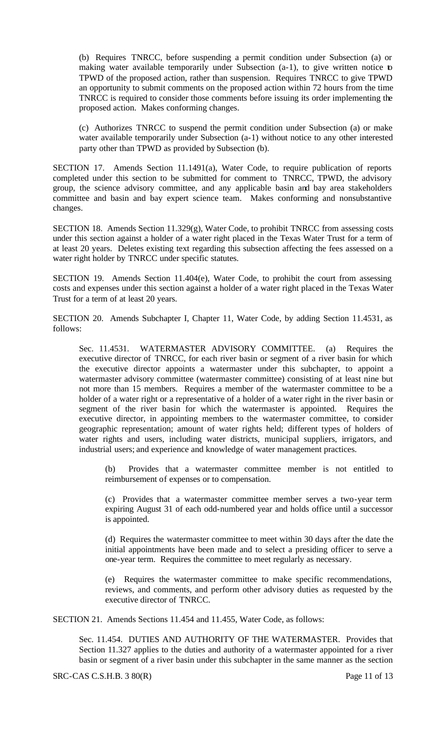(b) Requires TNRCC, before suspending a permit condition under Subsection (a) or making water available temporarily under Subsection (a-1), to give written notice to TPWD of the proposed action, rather than suspension. Requires TNRCC to give TPWD an opportunity to submit comments on the proposed action within 72 hours from the time TNRCC is required to consider those comments before issuing its order implementing the proposed action. Makes conforming changes.

(c) Authorizes TNRCC to suspend the permit condition under Subsection (a) or make water available temporarily under Subsection (a-1) without notice to any other interested party other than TPWD as provided by Subsection (b).

SECTION 17. Amends Section 11.1491(a), Water Code, to require publication of reports completed under this section to be submitted for comment to TNRCC, TPWD, the advisory group, the science advisory committee, and any applicable basin and bay area stakeholders committee and basin and bay expert science team. Makes conforming and nonsubstantive changes.

SECTION 18. Amends Section 11.329(g), Water Code, to prohibit TNRCC from assessing costs under this section against a holder of a water right placed in the Texas Water Trust for a term of at least 20 years. Deletes existing text regarding this subsection affecting the fees assessed on a water right holder by TNRCC under specific statutes.

SECTION 19. Amends Section 11.404(e), Water Code, to prohibit the court from assessing costs and expenses under this section against a holder of a water right placed in the Texas Water Trust for a term of at least 20 years.

SECTION 20. Amends Subchapter I, Chapter 11, Water Code, by adding Section 11.4531, as follows:

Sec. 11.4531. WATERMASTER ADVISORY COMMITTEE. (a) Requires the executive director of TNRCC, for each river basin or segment of a river basin for which the executive director appoints a watermaster under this subchapter, to appoint a watermaster advisory committee (watermaster committee) consisting of at least nine but not more than 15 members. Requires a member of the watermaster committee to be a holder of a water right or a representative of a holder of a water right in the river basin or segment of the river basin for which the watermaster is appointed. Requires the executive director, in appointing members to the watermaster committee, to consider geographic representation; amount of water rights held; different types of holders of water rights and users, including water districts, municipal suppliers, irrigators, and industrial users; and experience and knowledge of water management practices.

Provides that a watermaster committee member is not entitled to reimbursement of expenses or to compensation.

(c) Provides that a watermaster committee member serves a two-year term expiring August 31 of each odd-numbered year and holds office until a successor is appointed.

(d) Requires the watermaster committee to meet within 30 days after the date the initial appointments have been made and to select a presiding officer to serve a one-year term. Requires the committee to meet regularly as necessary.

(e) Requires the watermaster committee to make specific recommendations, reviews, and comments, and perform other advisory duties as requested by the executive director of TNRCC.

SECTION 21. Amends Sections 11.454 and 11.455, Water Code, as follows:

Sec. 11.454. DUTIES AND AUTHORITY OF THE WATERMASTER. Provides that Section 11.327 applies to the duties and authority of a watermaster appointed for a river basin or segment of a river basin under this subchapter in the same manner as the section

SRC-CAS C.S.H.B. 3 80(R) Page 11 of 13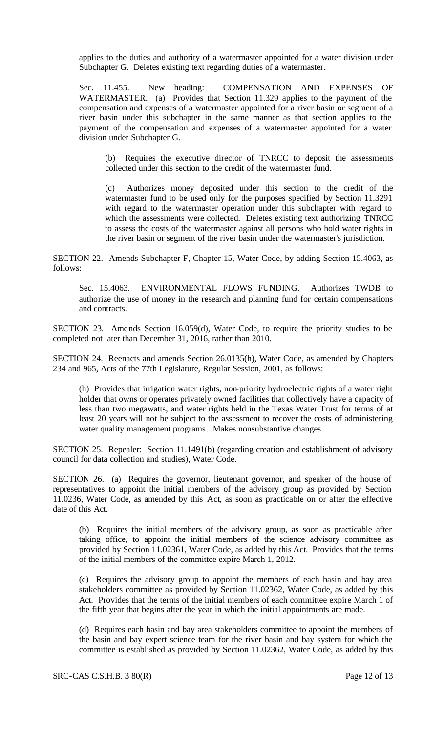applies to the duties and authority of a watermaster appointed for a water division under Subchapter G. Deletes existing text regarding duties of a watermaster.

Sec. 11.455. New heading: COMPENSATION AND EXPENSES OF WATERMASTER. (a) Provides that Section 11.329 applies to the payment of the compensation and expenses of a watermaster appointed for a river basin or segment of a river basin under this subchapter in the same manner as that section applies to the payment of the compensation and expenses of a watermaster appointed for a water division under Subchapter G.

(b) Requires the executive director of TNRCC to deposit the assessments collected under this section to the credit of the watermaster fund.

(c) Authorizes money deposited under this section to the credit of the watermaster fund to be used only for the purposes specified by Section 11.3291 with regard to the watermaster operation under this subchapter with regard to which the assessments were collected. Deletes existing text authorizing TNRCC to assess the costs of the watermaster against all persons who hold water rights in the river basin or segment of the river basin under the watermaster's jurisdiction.

SECTION 22. Amends Subchapter F, Chapter 15, Water Code, by adding Section 15.4063, as follows:

Sec. 15.4063. ENVIRONMENTAL FLOWS FUNDING. Authorizes TWDB to authorize the use of money in the research and planning fund for certain compensations and contracts.

SECTION 23. Amends Section 16.059(d), Water Code, to require the priority studies to be completed not later than December 31, 2016, rather than 2010.

SECTION 24. Reenacts and amends Section 26.0135(h), Water Code, as amended by Chapters 234 and 965, Acts of the 77th Legislature, Regular Session, 2001, as follows:

(h) Provides that irrigation water rights, non-priority hydroelectric rights of a water right holder that owns or operates privately owned facilities that collectively have a capacity of less than two megawatts, and water rights held in the Texas Water Trust for terms of at least 20 years will not be subject to the assessment to recover the costs of administering water quality management programs. Makes nonsubstantive changes.

SECTION 25. Repealer: Section 11.1491(b) (regarding creation and establishment of advisory council for data collection and studies), Water Code.

SECTION 26. (a) Requires the governor, lieutenant governor, and speaker of the house of representatives to appoint the initial members of the advisory group as provided by Section 11.0236, Water Code, as amended by this Act, as soon as practicable on or after the effective date of this Act.

(b) Requires the initial members of the advisory group, as soon as practicable after taking office, to appoint the initial members of the science advisory committee as provided by Section 11.02361, Water Code, as added by this Act. Provides that the terms of the initial members of the committee expire March 1, 2012.

(c) Requires the advisory group to appoint the members of each basin and bay area stakeholders committee as provided by Section 11.02362, Water Code, as added by this Act. Provides that the terms of the initial members of each committee expire March 1 of the fifth year that begins after the year in which the initial appointments are made.

(d) Requires each basin and bay area stakeholders committee to appoint the members of the basin and bay expert science team for the river basin and bay system for which the committee is established as provided by Section 11.02362, Water Code, as added by this